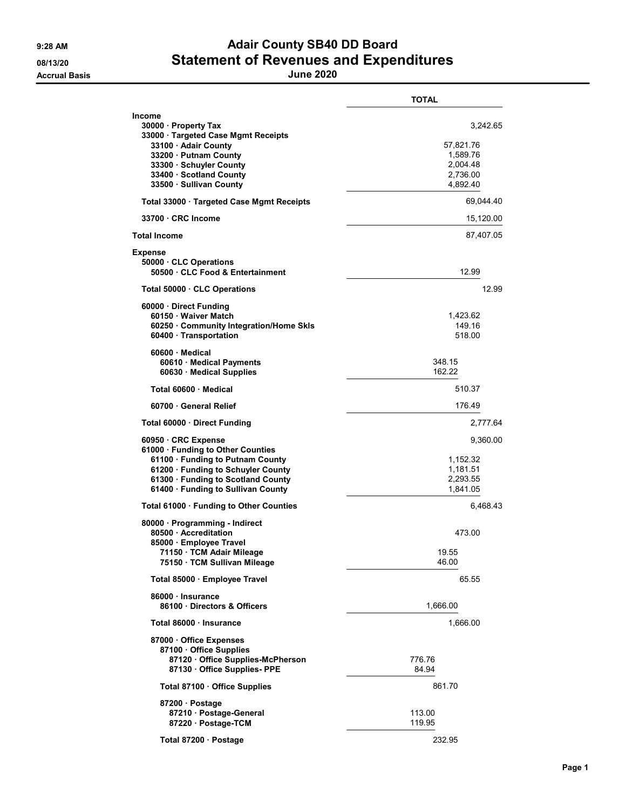## 9:28 AM **Adair County SB40 DD Board** 08/13/20 Statement of Revenues and Expenditures

|                                                                                                                                                                                                              | <b>TOTAL</b>                                                          |
|--------------------------------------------------------------------------------------------------------------------------------------------------------------------------------------------------------------|-----------------------------------------------------------------------|
| Income<br>30000 · Property Tax<br>33000 · Targeted Case Mgmt Receipts<br>33100 · Adair County<br>33200 · Putnam County<br>33300 · Schuyler County<br>33400 · Scotland County<br>33500 · Sullivan County      | 3,242.65<br>57,821.76<br>1,589.76<br>2,004.48<br>2,736.00<br>4,892.40 |
| Total 33000 Targeted Case Mgmt Receipts                                                                                                                                                                      | 69,044.40                                                             |
| 33700 CRC Income                                                                                                                                                                                             | 15,120.00                                                             |
| <b>Total Income</b>                                                                                                                                                                                          | 87,407.05                                                             |
| Expense<br>50000 CLC Operations<br>50500 · CLC Food & Entertainment                                                                                                                                          | 12.99                                                                 |
| Total 50000 CLC Operations                                                                                                                                                                                   | 12.99                                                                 |
| 60000 Direct Funding<br>60150 Waiver Match<br>60250 · Community Integration/Home Skls<br>60400 · Transportation                                                                                              | 1,423.62<br>149.16<br>518.00                                          |
| $60600 \cdot$ Medical<br>60610 · Medical Payments<br>60630 Medical Supplies                                                                                                                                  | 348.15<br>162.22                                                      |
| Total 60600 Medical                                                                                                                                                                                          | 510.37                                                                |
| 60700 General Relief                                                                                                                                                                                         | 176.49                                                                |
| Total 60000 Direct Funding                                                                                                                                                                                   | 2,777.64                                                              |
| 60950 CRC Expense<br>61000 · Funding to Other Counties<br>61100 · Funding to Putnam County<br>61200 · Funding to Schuyler County<br>61300 · Funding to Scotland County<br>61400 · Funding to Sullivan County | 9,360.00<br>1,152.32<br>1,181.51<br>2,293.55<br>1,841.05              |
| Total 61000 · Funding to Other Counties                                                                                                                                                                      | 6,468.43                                                              |
| 80000 · Programming - Indirect<br>80500 Accreditation<br>85000 · Employee Travel<br>71150 · TCM Adair Mileage<br>75150 TCM Sullivan Mileage                                                                  | 473.00<br>19.55<br>46.00                                              |
| Total 85000 · Employee Travel                                                                                                                                                                                | 65.55                                                                 |
| 86000 · Insurance<br>86100 Directors & Officers                                                                                                                                                              | 1,666.00                                                              |
| Total 86000 · Insurance                                                                                                                                                                                      | 1,666.00                                                              |
| 87000 Office Expenses<br>87100 · Office Supplies<br>87120 Office Supplies-McPherson<br>87130 Office Supplies- PPE                                                                                            | 776.76<br>84.94                                                       |
| Total 87100 · Office Supplies                                                                                                                                                                                | 861.70                                                                |
| 87200 Postage<br>87210 Postage-General<br>87220 · Postage-TCM                                                                                                                                                | 113.00<br>119.95                                                      |
| Total 87200 · Postage                                                                                                                                                                                        | 232.95                                                                |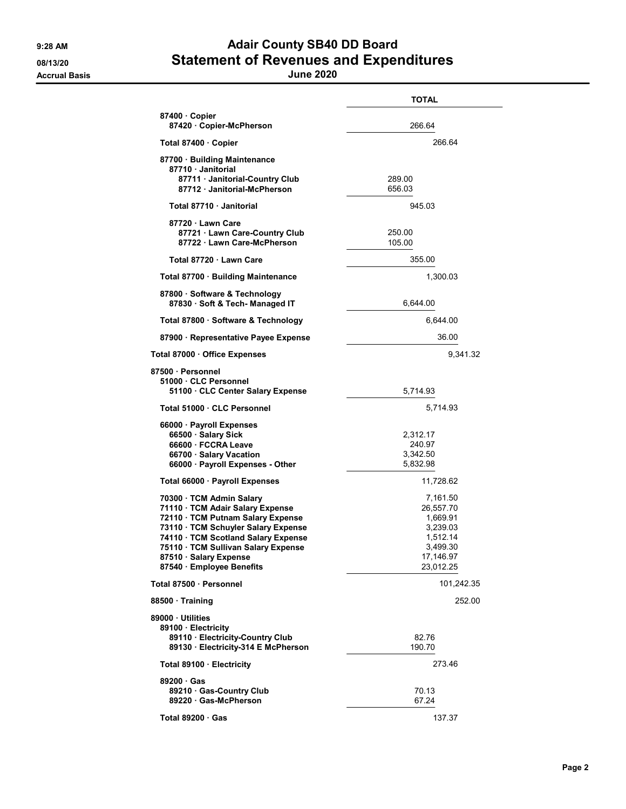## 9:28 AM **Adair County SB40 DD Board** 08/13/20 Statement of Revenues and Expenditures

Accrual Basis June 2020

|                                                                                                                                                                                                                                                                             | <b>TOTAL</b>                                                                                    |
|-----------------------------------------------------------------------------------------------------------------------------------------------------------------------------------------------------------------------------------------------------------------------------|-------------------------------------------------------------------------------------------------|
| 87400 Copier<br>87420 Copier-McPherson                                                                                                                                                                                                                                      | 266.64                                                                                          |
| Total 87400 · Copier                                                                                                                                                                                                                                                        | 266.64                                                                                          |
| 87700 Building Maintenance<br>87710 Janitorial                                                                                                                                                                                                                              |                                                                                                 |
| 87711 Janitorial-Country Club<br>87712 Janitorial-McPherson                                                                                                                                                                                                                 | 289.00<br>656.03                                                                                |
| Total 87710 · Janitorial                                                                                                                                                                                                                                                    | 945.03                                                                                          |
| 87720 Lawn Care<br>87721 Lawn Care-Country Club<br>87722 Lawn Care-McPherson                                                                                                                                                                                                | 250.00<br>105.00                                                                                |
| Total 87720 · Lawn Care                                                                                                                                                                                                                                                     | 355.00                                                                                          |
| Total 87700 · Building Maintenance                                                                                                                                                                                                                                          | 1,300.03                                                                                        |
| 87800 · Software & Technology<br>87830 · Soft & Tech- Managed IT                                                                                                                                                                                                            | 6,644.00                                                                                        |
| Total 87800 · Software & Technology                                                                                                                                                                                                                                         | 6,644.00                                                                                        |
| 87900 · Representative Payee Expense                                                                                                                                                                                                                                        | 36.00                                                                                           |
| Total 87000 · Office Expenses                                                                                                                                                                                                                                               | 9,341.32                                                                                        |
| 87500 · Personnel<br>51000 CLC Personnel                                                                                                                                                                                                                                    | 5,714.93                                                                                        |
| 51100 · CLC Center Salary Expense<br>Total 51000 · CLC Personnel                                                                                                                                                                                                            | 5,714.93                                                                                        |
| 66000 · Payroll Expenses<br>66500 · Salary Sick<br>66600 FCCRA Leave<br>66700 · Salary Vacation<br>66000 · Payroll Expenses - Other                                                                                                                                         | 2,312.17<br>240.97<br>3,342.50<br>5,832.98                                                      |
| Total 66000 · Payroll Expenses                                                                                                                                                                                                                                              | 11,728.62                                                                                       |
| 70300 · TCM Admin Salary<br>71110 · TCM Adair Salary Expense<br>72110 · TCM Putnam Salary Expense<br>73110 · TCM Schuyler Salary Expense<br>74110 · TCM Scotland Salary Expense<br>75110 TCM Sullivan Salary Expense<br>87510 · Salary Expense<br>87540 · Employee Benefits | 7,161.50<br>26,557.70<br>1,669.91<br>3,239.03<br>1,512.14<br>3,499.30<br>17,146.97<br>23,012.25 |
| Total 87500 · Personnel                                                                                                                                                                                                                                                     | 101,242.35                                                                                      |
| 88500 Training                                                                                                                                                                                                                                                              | 252.00                                                                                          |
| 89000 Utilities<br>89100 · Electricity<br>89110 · Electricity-Country Club<br>89130 · Electricity-314 E McPherson                                                                                                                                                           | 82.76<br>190.70                                                                                 |
| Total 89100 · Electricity                                                                                                                                                                                                                                                   | 273.46                                                                                          |
| 89200 Gas<br>89210 Gas-Country Club<br>89220 Gas-McPherson                                                                                                                                                                                                                  | 70.13<br>67.24                                                                                  |
| Total 89200 · Gas                                                                                                                                                                                                                                                           | 137.37                                                                                          |